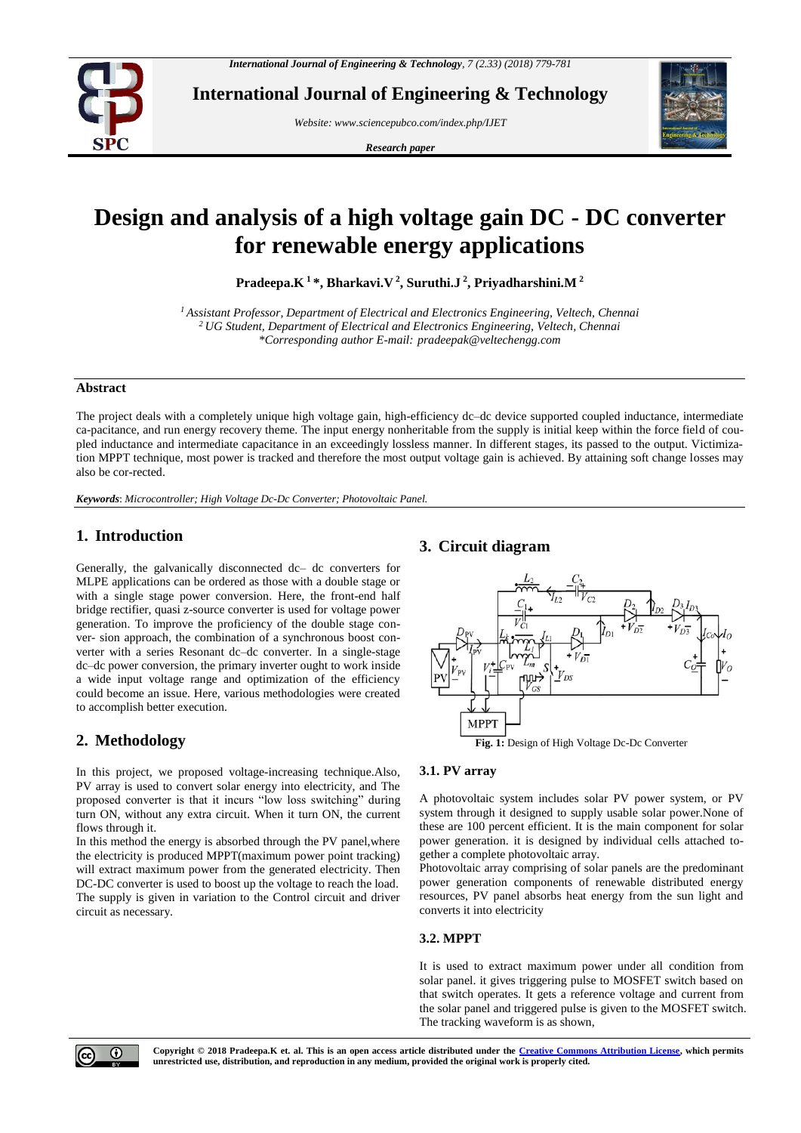

**International Journal of Engineering & Technology**

*Website: www.sciencepubco.com/index.php/IJET* 

*Research paper*



# **Design and analysis of a high voltage gain DC - DC converter for renewable energy applications**

**Pradeepa.K <sup>1</sup>\*, Bharkavi.V <sup>2</sup> , Suruthi.J <sup>2</sup> , Priyadharshini.M <sup>2</sup>**

*<sup>1</sup>Assistant Professor, Department of Electrical and Electronics Engineering, Veltech, Chennai <sup>2</sup>UG Student, Department of Electrical and Electronics Engineering, Veltech, Chennai \*Corresponding author E-mail: pradeepak@veltechengg.com*

#### **Abstract**

The project deals with a completely unique high voltage gain, high-efficiency dc–dc device supported coupled inductance, intermediate ca-pacitance, and run energy recovery theme. The input energy nonheritable from the supply is initial keep within the force field of coupled inductance and intermediate capacitance in an exceedingly lossless manner. In different stages, its passed to the output. Victimization MPPT technique, most power is tracked and therefore the most output voltage gain is achieved. By attaining soft change losses may also be cor-rected.

*Keywords*: *Microcontroller; High Voltage Dc-Dc Converter; Photovoltaic Panel.*

## **1. Introduction**

Generally, the galvanically disconnected dc– dc converters for MLPE applications can be ordered as those with a double stage or with a single stage power conversion. Here, the front-end half bridge rectifier, quasi z-source converter is used for voltage power generation. To improve the proficiency of the double stage conver- sion approach, the combination of a synchronous boost converter with a series Resonant dc–dc converter. In a single-stage dc–dc power conversion, the primary inverter ought to work inside a wide input voltage range and optimization of the efficiency could become an issue. Here, various methodologies were created to accomplish better execution.

# **2. Methodology**

In this project, we proposed voltage-increasing technique.Also, PV array is used to convert solar energy into electricity, and The proposed converter is that it incurs "low loss switching" during turn ON, without any extra circuit. When it turn ON, the current flows through it.

In this method the energy is absorbed through the PV panel,where the electricity is produced MPPT(maximum power point tracking) will extract maximum power from the generated electricity. Then DC-DC converter is used to boost up the voltage to reach the load. The supply is given in variation to the Control circuit and driver circuit as necessary.

# **3. Circuit diagram**



**Fig. 1:** Design of High Voltage Dc-Dc Converter

#### **3.1. PV array**

A photovoltaic system includes solar PV power system, or PV system through it designed to supply usable solar power.None of these are 100 percent efficient. It is the main component for solar power generation. it is designed by individual cells attached together a complete photovoltaic array.

Photovoltaic array comprising of solar panels are the predominant power generation components of renewable distributed energy resources, PV panel absorbs heat energy from the sun light and converts it into electricity

# **3.2. MPPT**

It is used to extract maximum power under all condition from solar panel. it gives triggering pulse to MOSFET switch based on that switch operates. It gets a reference voltage and current from the solar panel and triggered pulse is given to the MOSFET switch. The tracking waveform is as shown,



**Copyright © 2018 Pradeepa.K et. al. This is an open access article distributed under the [Creative Commons Attribution License,](http://creativecommons.org/licenses/by/3.0/) which permits unrestricted use, distribution, and reproduction in any medium, provided the original work is properly cited.**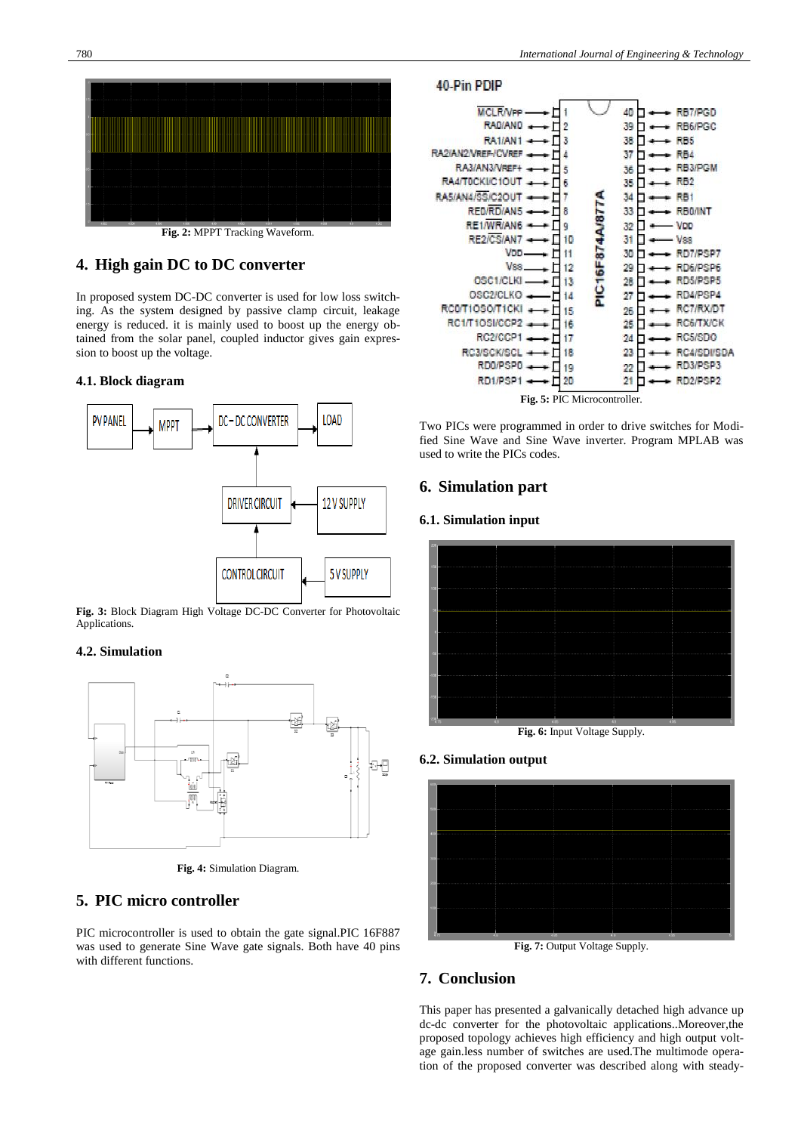

**Fig. 2:** MPPT Tracking Waveform.

# **4. High gain DC to DC converter**

In proposed system DC-DC converter is used for low loss switching. As the system designed by passive clamp circuit, leakage energy is reduced. it is mainly used to boost up the energy obtained from the solar panel, coupled inductor gives gain expression to boost up the voltage.

#### **4.1. Block diagram**



**Fig. 3:** Block Diagram High Voltage DC-DC Converter for Photovoltaic Applications.

#### **4.2. Simulation**



**Fig. 4:** Simulation Diagram.

## **5. PIC micro controller**

PIC microcontroller is used to obtain the gate signal.PIC 16F887 was used to generate Sine Wave gate signals. Both have 40 pins with different functions.





Two PICs were programmed in order to drive switches for Modified Sine Wave and Sine Wave inverter. Program MPLAB was used to write the PICs codes.

## **6. Simulation part**

#### **6.1. Simulation input**



**Fig. 6:** Input Voltage Supply.

#### **6.2. Simulation output**



**Fig. 7:** Output Voltage Supply.

## **7. Conclusion**

This paper has presented a galvanically detached high advance up dc-dc converter for the photovoltaic applications..Moreover,the proposed topology achieves high efficiency and high output voltage gain.less number of switches are used.The multimode operation of the proposed converter was described along with steady